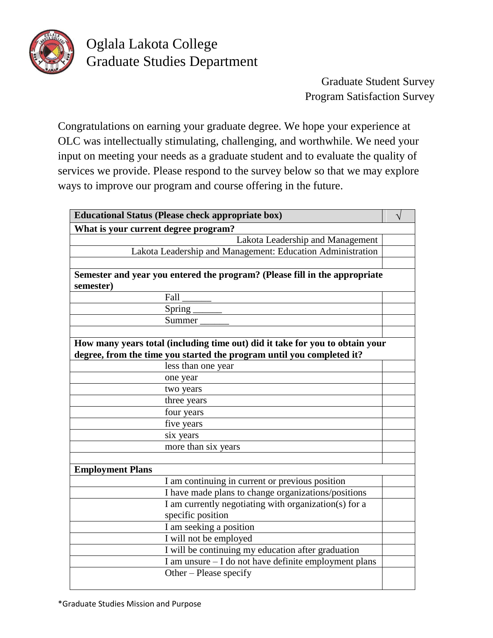

## Oglala Lakota College Graduate Studies Department

Graduate Student Survey Program Satisfaction Survey

Congratulations on earning your graduate degree. We hope your experience at OLC was intellectually stimulating, challenging, and worthwhile. We need your input on meeting your needs as a graduate student and to evaluate the quality of services we provide. Please respond to the survey below so that we may explore ways to improve our program and course offering in the future.

| <b>Educational Status (Please check appropriate box)</b>                     |  |  |  |  |
|------------------------------------------------------------------------------|--|--|--|--|
| What is your current degree program?                                         |  |  |  |  |
| Lakota Leadership and Management                                             |  |  |  |  |
| Lakota Leadership and Management: Education Administration                   |  |  |  |  |
|                                                                              |  |  |  |  |
| Semester and year you entered the program? (Please fill in the appropriate   |  |  |  |  |
| semester)                                                                    |  |  |  |  |
| Fall                                                                         |  |  |  |  |
| Spring $\_$                                                                  |  |  |  |  |
| Summer                                                                       |  |  |  |  |
|                                                                              |  |  |  |  |
| How many years total (including time out) did it take for you to obtain your |  |  |  |  |
| degree, from the time you started the program until you completed it?        |  |  |  |  |
| less than one year                                                           |  |  |  |  |
| one year                                                                     |  |  |  |  |
| two years                                                                    |  |  |  |  |
| three years                                                                  |  |  |  |  |
| four years                                                                   |  |  |  |  |
| five years                                                                   |  |  |  |  |
| six years                                                                    |  |  |  |  |
| more than six years                                                          |  |  |  |  |
|                                                                              |  |  |  |  |
| <b>Employment Plans</b>                                                      |  |  |  |  |
| I am continuing in current or previous position                              |  |  |  |  |
| I have made plans to change organizations/positions                          |  |  |  |  |
| I am currently negotiating with organization(s) for a                        |  |  |  |  |
| specific position                                                            |  |  |  |  |
| I am seeking a position                                                      |  |  |  |  |
| I will not be employed                                                       |  |  |  |  |
| I will be continuing my education after graduation                           |  |  |  |  |
| I am unsure - I do not have definite employment plans                        |  |  |  |  |
| Other – Please specify                                                       |  |  |  |  |
|                                                                              |  |  |  |  |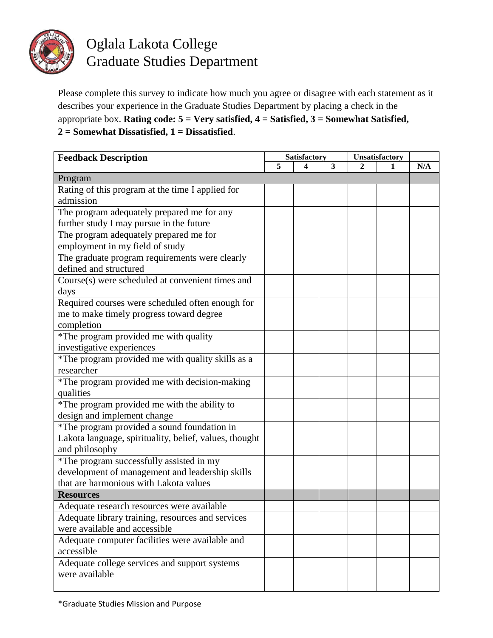

## Oglala Lakota College Graduate Studies Department

Please complete this survey to indicate how much you agree or disagree with each statement as it describes your experience in the Graduate Studies Department by placing a check in the appropriate box. **Rating code: 5 = Very satisfied, 4 = Satisfied, 3 = Somewhat Satisfied, 2 = Somewhat Dissatisfied, 1 = Dissatisfied**.

| <b>Feedback Description</b>                            |   | Satisfactory |   |   | Unsatisfactory |     |
|--------------------------------------------------------|---|--------------|---|---|----------------|-----|
|                                                        | 5 | 4            | 3 | 2 | 1              | N/A |
| Program                                                |   |              |   |   |                |     |
| Rating of this program at the time I applied for       |   |              |   |   |                |     |
| admission                                              |   |              |   |   |                |     |
| The program adequately prepared me for any             |   |              |   |   |                |     |
| further study I may pursue in the future               |   |              |   |   |                |     |
| The program adequately prepared me for                 |   |              |   |   |                |     |
| employment in my field of study                        |   |              |   |   |                |     |
| The graduate program requirements were clearly         |   |              |   |   |                |     |
| defined and structured                                 |   |              |   |   |                |     |
| Course(s) were scheduled at convenient times and       |   |              |   |   |                |     |
| days                                                   |   |              |   |   |                |     |
| Required courses were scheduled often enough for       |   |              |   |   |                |     |
| me to make timely progress toward degree               |   |              |   |   |                |     |
| completion                                             |   |              |   |   |                |     |
| *The program provided me with quality                  |   |              |   |   |                |     |
| investigative experiences                              |   |              |   |   |                |     |
| *The program provided me with quality skills as a      |   |              |   |   |                |     |
| researcher                                             |   |              |   |   |                |     |
| *The program provided me with decision-making          |   |              |   |   |                |     |
| qualities                                              |   |              |   |   |                |     |
| *The program provided me with the ability to           |   |              |   |   |                |     |
| design and implement change                            |   |              |   |   |                |     |
| *The program provided a sound foundation in            |   |              |   |   |                |     |
| Lakota language, spirituality, belief, values, thought |   |              |   |   |                |     |
| and philosophy                                         |   |              |   |   |                |     |
| *The program successfully assisted in my               |   |              |   |   |                |     |
| development of management and leadership skills        |   |              |   |   |                |     |
| that are harmonious with Lakota values                 |   |              |   |   |                |     |
| <b>Resources</b>                                       |   |              |   |   |                |     |
| Adequate research resources were available             |   |              |   |   |                |     |
| Adequate library training, resources and services      |   |              |   |   |                |     |
| were available and accessible                          |   |              |   |   |                |     |
| Adequate computer facilities were available and        |   |              |   |   |                |     |
| accessible                                             |   |              |   |   |                |     |
| Adequate college services and support systems          |   |              |   |   |                |     |
| were available                                         |   |              |   |   |                |     |
|                                                        |   |              |   |   |                |     |